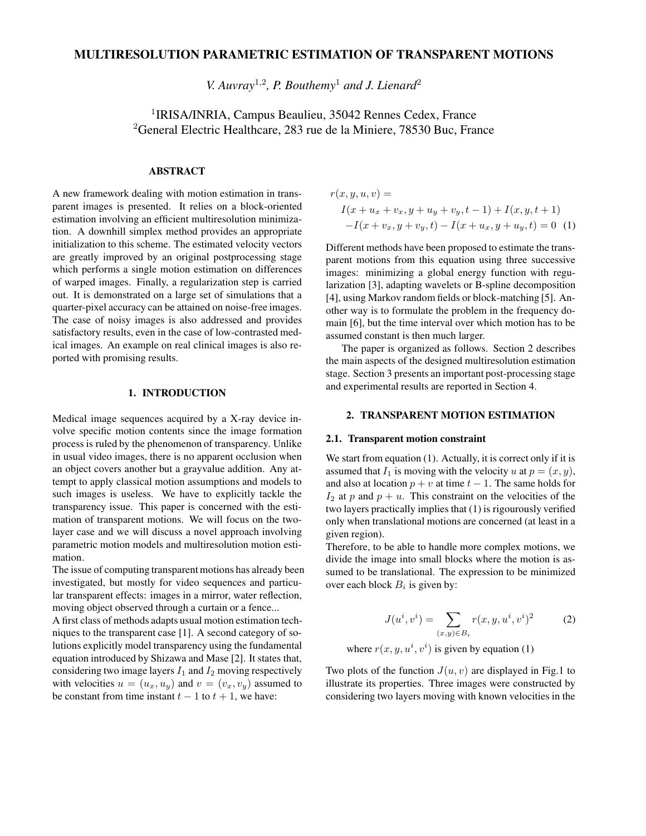# **MULTIRESOLUTION PARAMETRIC ESTIMATION OF TRANSPARENT MOTIONS**

*V. Auvray*<sup>1</sup>,<sup>2</sup> *, P. Bouthemy*<sup>1</sup> *and J. Lienard* 2

<sup>1</sup>IRISA/INRIA, Campus Beaulieu, 35042 Rennes Cedex, France <sup>2</sup>General Electric Healthcare, 283 rue de la Miniere, 78530 Buc, France

# **ABSTRACT**

A new framework dealing with motion estimation in transparent images is presented. It relies on a block-oriented estimation involving an efficient multiresolution minimization. A downhill simplex method provides an appropriate initialization to this scheme. The estimated velocity vectors are greatly improved by an original postprocessing stage which performs a single motion estimation on differences of warped images. Finally, a regularization step is carried out. It is demonstrated on a large set of simulations that a quarter-pixel accuracy can be attained on noise-free images. The case of noisy images is also addressed and provides satisfactory results, even in the case of low-contrasted medical images. An example on real clinical images is also reported with promising results.

### **1. INTRODUCTION**

Medical image sequences acquired by a X-ray device involve specific motion contents since the image formation process is ruled by the phenomenon of transparency. Unlike in usual video images, there is no apparent occlusion when an object covers another but a grayvalue addition. Any attempt to apply classical motion assumptions and models to such images is useless. We have to explicitly tackle the transparency issue. This paper is concerned with the estimation of transparent motions. We will focus on the twolayer case and we will discuss a novel approach involving parametric motion models and multiresolution motion estimation.

The issue of computing transparent motions has already been investigated, but mostly for video sequences and particular transparent effects: images in a mirror, water reflection, moving object observed through a curtain or a fence...

A first class of methods adapts usual motion estimation techniques to the transparent case [1]. A second category of solutions explicitly model transparency using the fundamental equation introduced by Shizawa and Mase [2]. It states that, considering two image layers  $I_1$  and  $I_2$  moving respectively with velocities  $u = (u_x, u_y)$  and  $v = (v_x, v_y)$  assumed to be constant from time instant  $t - 1$  to  $t + 1$ , we have:

$$
r(x, y, u, v) =
$$
  
\n
$$
I(x + u_x + v_x, y + u_y + v_y, t - 1) + I(x, y, t + 1)
$$
  
\n
$$
-I(x + v_x, y + v_y, t) - I(x + u_x, y + u_y, t) = 0
$$
 (1)

Different methods have been proposed to estimate the transparent motions from this equation using three successive images: minimizing a global energy function with regularization [3], adapting wavelets or B-spline decomposition [4], using Markov random fields or block-matching [5]. Another way is to formulate the problem in the frequency domain [6], but the time interval over which motion has to be assumed constant is then much larger.

The paper is organized as follows. Section 2 describes the main aspects of the designed multiresolution estimation stage. Section 3 presents an important post-processing stage and experimental results are reported in Section 4.

#### **2. TRANSPARENT MOTION ESTIMATION**

#### **2.1. Transparent motion constraint**

We start from equation (1). Actually, it is correct only if it is assumed that  $I_1$  is moving with the velocity u at  $p = (x, y)$ , and also at location  $p + v$  at time  $t - 1$ . The same holds for  $I_2$  at p and  $p + u$ . This constraint on the velocities of the two layers practically implies that (1) is rigourously verified only when translational motions are concerned (at least in a given region).

Therefore, to be able to handle more complex motions, we divide the image into small blocks where the motion is assumed to be translational. The expression to be minimized over each block  $B_i$  is given by:

$$
J(u^i, v^i) = \sum_{(x,y)\in B_i} r(x, y, u^i, v^i)^2
$$
 (2)

where  $r(x, y, u^i, v^i)$  is given by equation (1)

Two plots of the function  $J(u, v)$  are displayed in Fig.1 to illustrate its properties. Three images were constructed by considering two layers moving with known velocities in the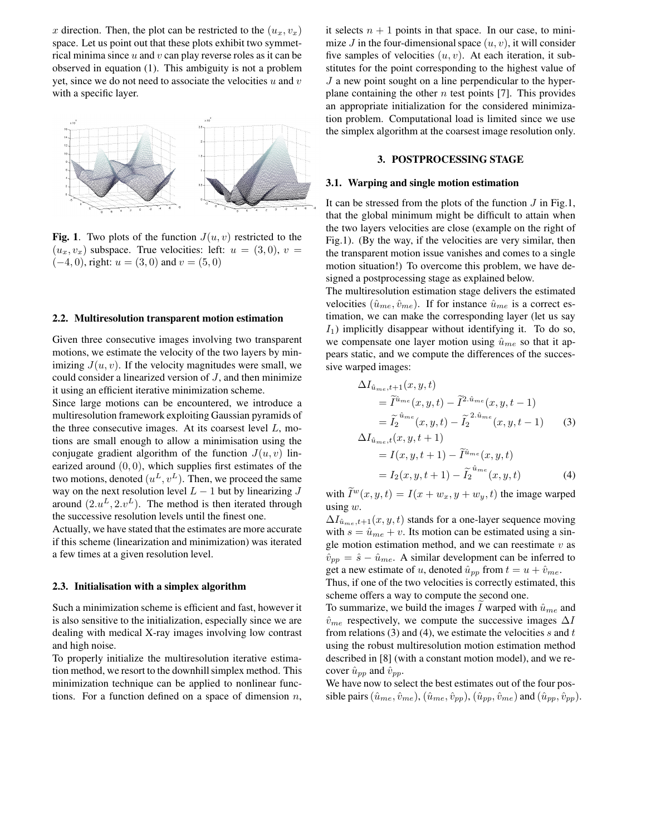x direction. Then, the plot can be restricted to the  $(u_x, v_x)$ space. Let us point out that these plots exhibit two symmetrical minima since  $u$  and  $v$  can play reverse roles as it can be observed in equation (1). This ambiguity is not a problem yet, since we do not need to associate the velocities  $u$  and  $v$ with a specific layer.



**Fig. 1**. Two plots of the function  $J(u, v)$  restricted to the  $(u_x, v_x)$  subspace. True velocities: left:  $u = (3, 0), v =$  $(-4, 0)$ , right:  $u = (3, 0)$  and  $v = (5, 0)$ 

## **2.2. Multiresolution transparent motion estimation**

Given three consecutive images involving two transparent motions, we estimate the velocity of the two layers by minimizing  $J(u, v)$ . If the velocity magnitudes were small, we could consider a linearized version of  $J$ , and then minimize it using an efficient iterative minimization scheme.

Since large motions can be encountered, we introduce a multiresolution framework exploiting Gaussian pyramids of the three consecutive images. At its coarsest level  $L$ , motions are small enough to allow a minimisation using the conjugate gradient algorithm of the function  $J(u, v)$  linearized around  $(0, 0)$ , which supplies first estimates of the two motions, denoted  $(u^L, v^L)$ . Then, we proceed the same way on the next resolution level  $L - 1$  but by linearizing  $J$ around  $(2u^L, 2v^L)$ . The method is then iterated through the successive resolution levels until the finest one.

Actually, we have stated that the estimates are more accurate if this scheme (linearization and minimization) was iterated a few times at a given resolution level.

### **2.3. Initialisation with a simplex algorithm**

Such a minimization scheme is efficient and fast, however it is also sensitive to the initialization, especially since we are dealing with medical X-ray images involving low contrast and high noise.

To properly initialize the multiresolution iterative estimation method, we resort to the downhillsimplex method. This minimization technique can be applied to nonlinear functions. For a function defined on a space of dimension  $n$ ,

it selects  $n + 1$  points in that space. In our case, to minimize  $J$  in the four-dimensional space  $(u, v)$ , it will consider five samples of velocities  $(u, v)$ . At each iteration, it substitutes for the point corresponding to the highest value of  $J$  a new point sought on a line perpendicular to the hyperplane containing the other  $n$  test points [7]. This provides an appropriate initialization for the considered minimization problem. Computational load is limited since we use the simplex algorithm at the coarsest image resolution only.

## **3. POSTPROCESSING STAGE**

#### **3.1. Warping and single motion estimation**

It can be stressed from the plots of the function  $J$  in Fig.1, that the global minimum might be difficult to attain when the two layers velocities are close (example on the right of Fig.1). (By the way, if the velocities are very similar, then the transparent motion issue vanishes and comes to a single motion situation!) To overcome this problem, we have designed a postprocessing stage as explained below.

The multiresolution estimation stage delivers the estimated velocities  $(\hat{u}_{me}, \hat{v}_{me})$ . If for instance  $\hat{u}_{me}$  is a correct estimation, we can make the corresponding layer (let us say  $I_1$ ) implicitly disappear without identifying it. To do so, we compensate one layer motion using  $\hat{u}_{me}$  so that it appears static, and we compute the differences of the successive warped images:

$$
\Delta I_{\hat{u}_{me},t+1}(x,y,t) = \tilde{I}^{\hat{u}_{me}}(x,y,t) - \tilde{I}^{2.\hat{u}_{me}}(x,y,t-1) \n= \tilde{I}_2^{\hat{u}_{me}}(x,y,t) - \tilde{I}_2^{2.\hat{u}_{me}}(x,y,t-1)
$$
\n
$$
\Delta I_{\hat{u}_{me},t}(x,y,t+1)
$$
\n(3)

$$
= I(x, y, t + 1) - \tilde{I}^{\hat{u}_{me}}(x, y, t)
$$
  
=  $I_2(x, y, t + 1) - \tilde{I}_2^{\hat{u}_{me}}(x, y, t)$  (4)

with  $\widetilde{I}^w(x, y, t) = I(x + w_x, y + w_y, t)$  the image warped using  $w$ .

 $\Delta I_{\hat{u}_{me},t+1}(x, y, t)$  stands for a one-layer sequence moving with  $s = \hat{u}_{me} + v$ . Its motion can be estimated using a single motion estimation method, and we can reestimate  $v$  as  $\hat{v}_{pp} = \hat{s} - \hat{u}_{me}$ . A similar development can be inferred to get a new estimate of u, denoted  $\hat{u}_{pp}$  from  $t = u + \hat{v}_{me}$ .

Thus, if one of the two velocities is correctly estimated, this scheme offers a way to compute the second one.

To summarize, we build the images I warped with  $\hat{u}_{me}$  and  $\hat{v}_{me}$  respectively, we compute the successive images  $\Delta I$ from relations (3) and (4), we estimate the velocities  $s$  and  $t$ using the robust multiresolution motion estimation method described in [8] (with a constant motion model), and we recover  $\hat{u}_{pp}$  and  $\hat{v}_{pp}$ .

We have now to select the best estimates out of the four possible pairs  $(\hat{u}_{me}, \hat{v}_{me}), (\hat{u}_{me}, \hat{v}_{pp}), (\hat{u}_{pp}, \hat{v}_{me})$  and  $(\hat{u}_{pp}, \hat{v}_{pp}).$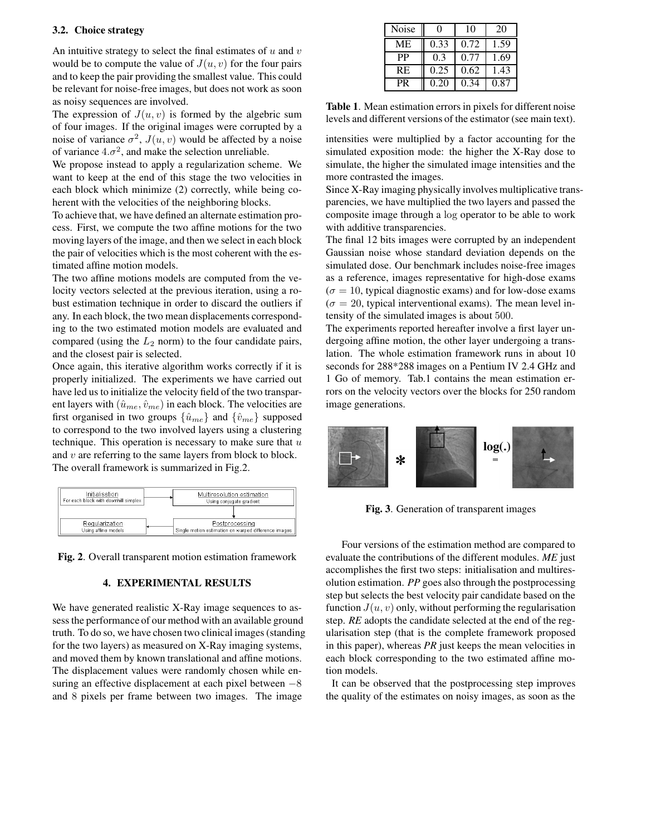# **3.2. Choice strategy**

An intuitive strategy to select the final estimates of  $u$  and  $v$ would be to compute the value of  $J(u, v)$  for the four pairs and to keep the pair providing the smallest value. This could be relevant for noise-free images, but does not work as soon as noisy sequences are involved.

The expression of  $J(u, v)$  is formed by the algebric sum of four images. If the original images were corrupted by a noise of variance  $\sigma^2$ ,  $J(u, v)$  would be affected by a noise of variance  $4.\sigma^2$ , and make the selection unreliable.

We propose instead to apply a regularization scheme. We want to keep at the end of this stage the two velocities in each block which minimize (2) correctly, while being coherent with the velocities of the neighboring blocks.

To achieve that, we have defined an alternate estimation process. First, we compute the two affine motions for the two moving layers of the image, and then we select in each block the pair of velocities which is the most coherent with the estimated affine motion models.

The two affine motions models are computed from the velocity vectors selected at the previous iteration, using a robust estimation technique in order to discard the outliers if any. In each block, the two mean displacements corresponding to the two estimated motion models are evaluated and compared (using the  $L_2$  norm) to the four candidate pairs, and the closest pair is selected.

Once again, this iterative algorithm works correctly if it is properly initialized. The experiments we have carried out have led us to initialize the velocity field of the two transparent layers with  $(\hat{u}_{me}, \hat{v}_{me})$  in each block. The velocities are first organised in two groups  $\{\hat{u}_{me}\}\$  and  $\{\hat{v}_{me}\}\$  supposed to correspond to the two involved layers using a clustering technique. This operation is necessary to make sure that  $u$ and  $v$  are referring to the same layers from block to block. The overall framework is summarized in Fig.2.

| Initialisation                       | Multiresolution estimation                           |  |
|--------------------------------------|------------------------------------------------------|--|
| For each block with downhill simplex | Using conjugate gradient                             |  |
|                                      |                                                      |  |
| Regularization                       | Postprocessing                                       |  |
| Using affine models                  | Single motion estimation on warped difference images |  |

**Fig. 2**. Overall transparent motion estimation framework

# **4. EXPERIMENTAL RESULTS**

We have generated realistic X-Ray image sequences to assess the performance of our method with an available ground truth. To do so, we have chosen two clinical images(standing for the two layers) as measured on X-Ray imaging systems, and moved them by known translational and affine motions. The displacement values were randomly chosen while ensuring an effective displacement at each pixel between −8 and 8 pixels per frame between two images. The image

| <b>Noise</b> |      | 10   | 20   |
|--------------|------|------|------|
| <b>ME</b>    | 0.33 | 0.72 | 1.59 |
| <b>PP</b>    | 0.3  | 0.77 | 1.69 |
| <b>RE</b>    | 0.25 | 0.62 | 1.43 |
| PR           | 0.20 | 0.34 | 0.87 |

**Table 1**. Mean estimation errors in pixels for different noise levels and different versions of the estimator (see main text).

intensities were multiplied by a factor accounting for the simulated exposition mode: the higher the X-Ray dose to simulate, the higher the simulated image intensities and the more contrasted the images.

Since X-Ray imaging physically involves multiplicative transparencies, we have multiplied the two layers and passed the composite image through a log operator to be able to work with additive transparencies.

The final 12 bits images were corrupted by an independent Gaussian noise whose standard deviation depends on the simulated dose. Our benchmark includes noise-free images as a reference, images representative for high-dose exams  $(\sigma = 10$ , typical diagnostic exams) and for low-dose exams  $(\sigma = 20$ , typical interventional exams). The mean level intensity of the simulated images is about 500.

The experiments reported hereafter involve a first layer undergoing affine motion, the other layer undergoing a translation. The whole estimation framework runs in about 10 seconds for 288\*288 images on a Pentium IV 2.4 GHz and 1 Go of memory. Tab.1 contains the mean estimation errors on the velocity vectors over the blocks for 250 random image generations.



**Fig. 3**. Generation of transparent images

Four versions of the estimation method are compared to evaluate the contributions of the different modules. *ME* just accomplishes the first two steps: initialisation and multiresolution estimation. *PP* goes also through the postprocessing step but selects the best velocity pair candidate based on the function  $J(u, v)$  only, without performing the regularisation step. *RE* adopts the candidate selected at the end of the regularisation step (that is the complete framework proposed in this paper), whereas *PR* just keeps the mean velocities in each block corresponding to the two estimated affine motion models.

It can be observed that the postprocessing step improves the quality of the estimates on noisy images, as soon as the